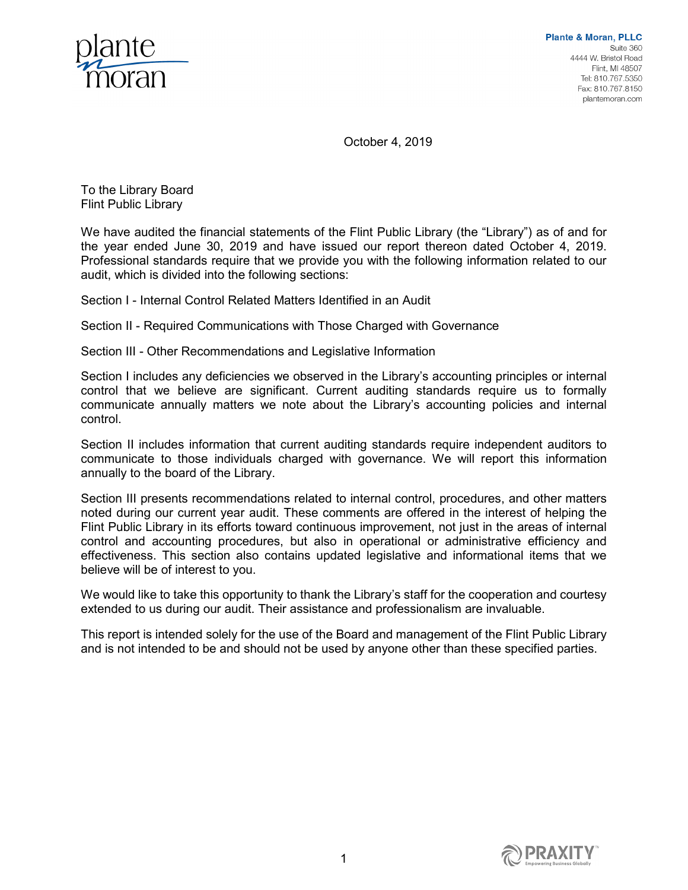

October 4, 2019

To the Library Board Flint Public Library

We have audited the financial statements of the Flint Public Library (the "Library") as of and for the year ended June 30, 2019 and have issued our report thereon dated October 4, 2019. Professional standards require that we provide you with the following information related to our audit, which is divided into the following sections:

Section I - Internal Control Related Matters Identified in an Audit

Section II - Required Communications with Those Charged with Governance

Section III - Other Recommendations and Legislative Information

Section I includes any deficiencies we observed in the Library's accounting principles or internal control that we believe are significant. Current auditing standards require us to formally communicate annually matters we note about the Library's accounting policies and internal control.

Section II includes information that current auditing standards require independent auditors to communicate to those individuals charged with governance. We will report this information annually to the board of the Library.

Section III presents recommendations related to internal control, procedures, and other matters noted during our current year audit. These comments are offered in the interest of helping the Flint Public Library in its efforts toward continuous improvement, not just in the areas of internal control and accounting procedures, but also in operational or administrative efficiency and effectiveness. This section also contains updated legislative and informational items that we believe will be of interest to you.

We would like to take this opportunity to thank the Library's staff for the cooperation and courtesy extended to us during our audit. Their assistance and professionalism are invaluable.

This report is intended solely for the use of the Board and management of the Flint Public Library and is not intended to be and should not be used by anyone other than these specified parties.

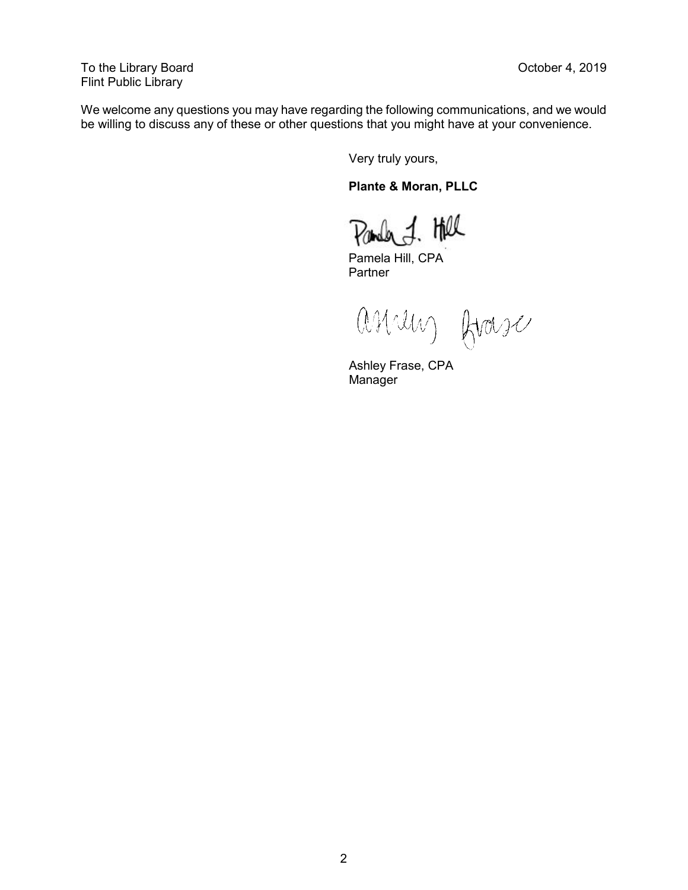To the Library Board **Contract Contract Contract Contract Contract Contract Contract Contract Contract Contract Contract Contract Contract Contract Contract Contract Contract Contract Contract Contract Contract Contract Co** Flint Public Library

We welcome any questions you may have regarding the following communications, and we would be willing to discuss any of these or other questions that you might have at your convenience.

Very truly yours,

**Plante & Moran, PLLC**

Panda & Hel

Pamela Hill, CPA Partner

assaus frase

Ashley Frase, CPA Manager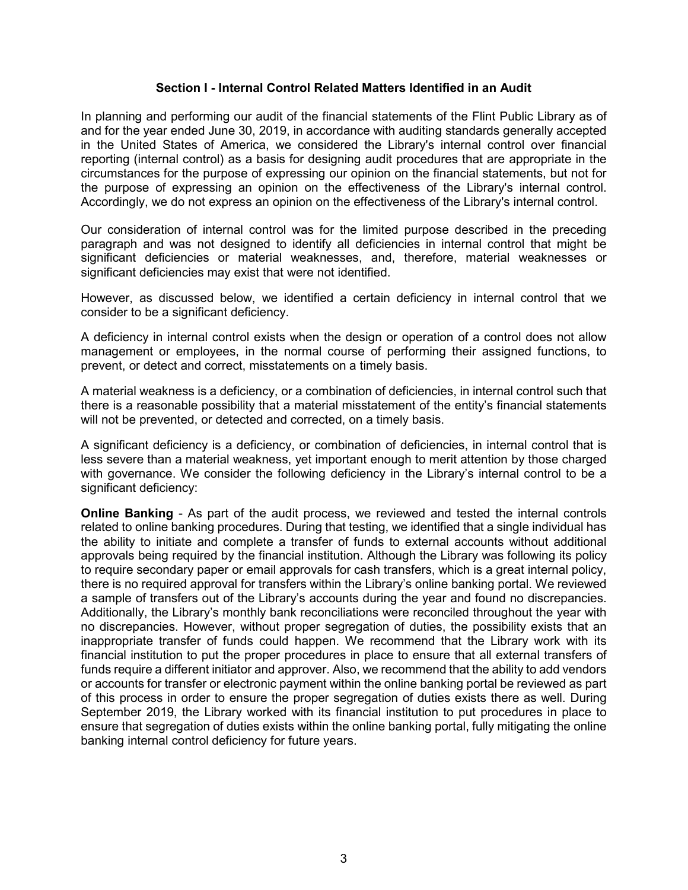#### **Section I - Internal Control Related Matters Identified in an Audit**

In planning and performing our audit of the financial statements of the Flint Public Library as of and for the year ended June 30, 2019, in accordance with auditing standards generally accepted in the United States of America, we considered the Library's internal control over financial reporting (internal control) as a basis for designing audit procedures that are appropriate in the circumstances for the purpose of expressing our opinion on the financial statements, but not for the purpose of expressing an opinion on the effectiveness of the Library's internal control. Accordingly, we do not express an opinion on the effectiveness of the Library's internal control.

Our consideration of internal control was for the limited purpose described in the preceding paragraph and was not designed to identify all deficiencies in internal control that might be significant deficiencies or material weaknesses, and, therefore, material weaknesses or significant deficiencies may exist that were not identified.

However, as discussed below, we identified a certain deficiency in internal control that we consider to be a significant deficiency.

A deficiency in internal control exists when the design or operation of a control does not allow management or employees, in the normal course of performing their assigned functions, to prevent, or detect and correct, misstatements on a timely basis.

A material weakness is a deficiency, or a combination of deficiencies, in internal control such that there is a reasonable possibility that a material misstatement of the entity's financial statements will not be prevented, or detected and corrected, on a timely basis.

A significant deficiency is a deficiency, or combination of deficiencies, in internal control that is less severe than a material weakness, yet important enough to merit attention by those charged with governance. We consider the following deficiency in the Library's internal control to be a significant deficiency:

**Online Banking** - As part of the audit process, we reviewed and tested the internal controls related to online banking procedures. During that testing, we identified that a single individual has the ability to initiate and complete a transfer of funds to external accounts without additional approvals being required by the financial institution. Although the Library was following its policy to require secondary paper or email approvals for cash transfers, which is a great internal policy, there is no required approval for transfers within the Library's online banking portal. We reviewed a sample of transfers out of the Library's accounts during the year and found no discrepancies. Additionally, the Library's monthly bank reconciliations were reconciled throughout the year with no discrepancies. However, without proper segregation of duties, the possibility exists that an inappropriate transfer of funds could happen. We recommend that the Library work with its financial institution to put the proper procedures in place to ensure that all external transfers of funds require a different initiator and approver. Also, we recommend that the ability to add vendors or accounts for transfer or electronic payment within the online banking portal be reviewed as part of this process in order to ensure the proper segregation of duties exists there as well. During September 2019, the Library worked with its financial institution to put procedures in place to ensure that segregation of duties exists within the online banking portal, fully mitigating the online banking internal control deficiency for future years.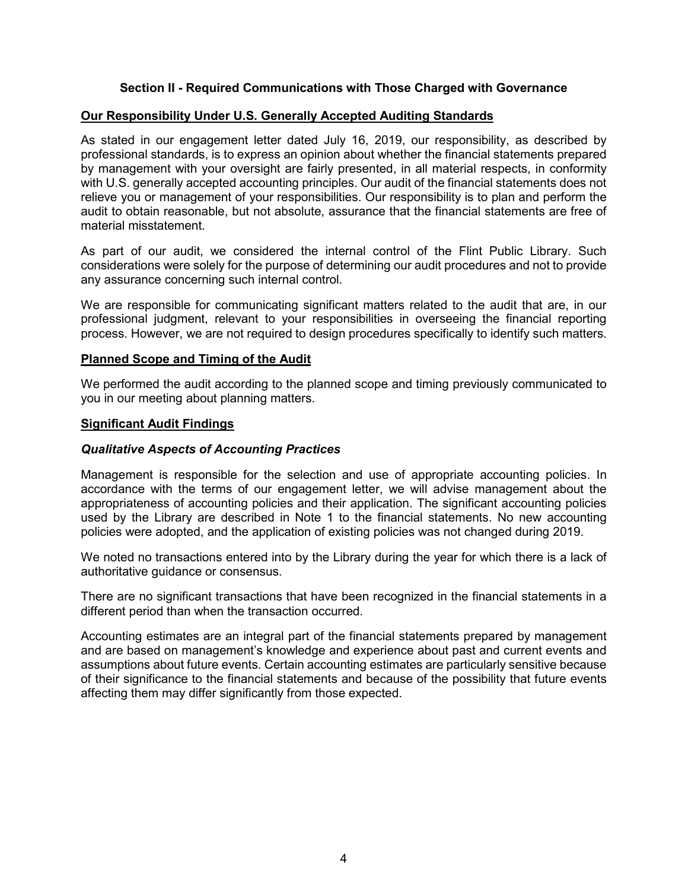# **Section II - Required Communications with Those Charged with Governance**

# **Our Responsibility Under U.S. Generally Accepted Auditing Standards**

As stated in our engagement letter dated July 16, 2019, our responsibility, as described by professional standards, is to express an opinion about whether the financial statements prepared by management with your oversight are fairly presented, in all material respects, in conformity with U.S. generally accepted accounting principles. Our audit of the financial statements does not relieve you or management of your responsibilities. Our responsibility is to plan and perform the audit to obtain reasonable, but not absolute, assurance that the financial statements are free of material misstatement.

As part of our audit, we considered the internal control of the Flint Public Library. Such considerations were solely for the purpose of determining our audit procedures and not to provide any assurance concerning such internal control.

We are responsible for communicating significant matters related to the audit that are, in our professional judgment, relevant to your responsibilities in overseeing the financial reporting process. However, we are not required to design procedures specifically to identify such matters.

#### **Planned Scope and Timing of the Audit**

We performed the audit according to the planned scope and timing previously communicated to you in our meeting about planning matters.

#### **Significant Audit Findings**

#### *Qualitative Aspects of Accounting Practices*

Management is responsible for the selection and use of appropriate accounting policies. In accordance with the terms of our engagement letter, we will advise management about the appropriateness of accounting policies and their application. The significant accounting policies used by the Library are described in Note 1 to the financial statements. No new accounting policies were adopted, and the application of existing policies was not changed during 2019.

We noted no transactions entered into by the Library during the year for which there is a lack of authoritative guidance or consensus.

There are no significant transactions that have been recognized in the financial statements in a different period than when the transaction occurred.

Accounting estimates are an integral part of the financial statements prepared by management and are based on management's knowledge and experience about past and current events and assumptions about future events. Certain accounting estimates are particularly sensitive because of their significance to the financial statements and because of the possibility that future events affecting them may differ significantly from those expected.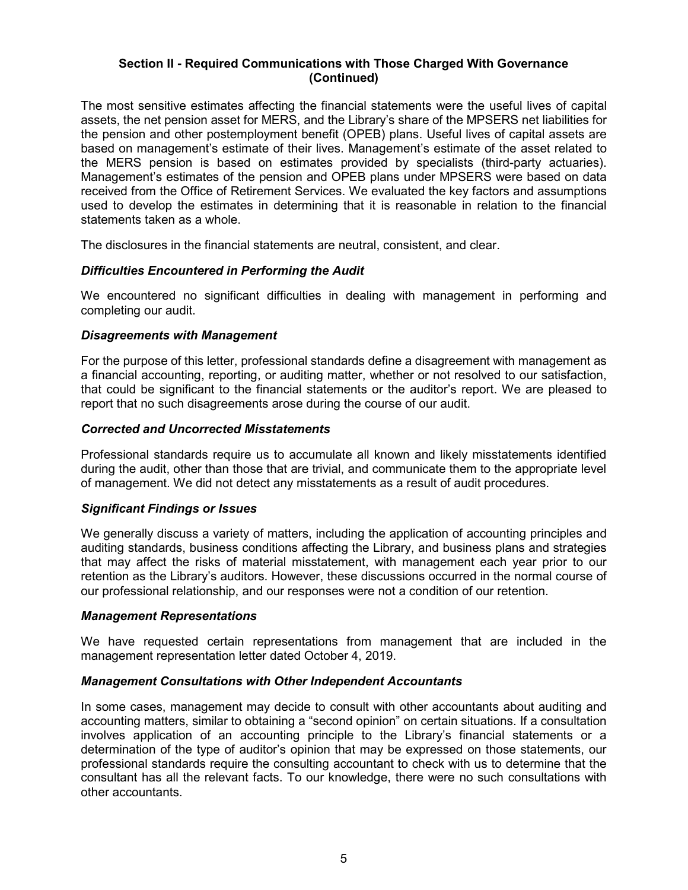## **Section II - Required Communications with Those Charged With Governance (Continued)**

The most sensitive estimates affecting the financial statements were the useful lives of capital assets, the net pension asset for MERS, and the Library's share of the MPSERS net liabilities for the pension and other postemployment benefit (OPEB) plans. Useful lives of capital assets are based on management's estimate of their lives. Management's estimate of the asset related to the MERS pension is based on estimates provided by specialists (third-party actuaries). Management's estimates of the pension and OPEB plans under MPSERS were based on data received from the Office of Retirement Services. We evaluated the key factors and assumptions used to develop the estimates in determining that it is reasonable in relation to the financial statements taken as a whole.

The disclosures in the financial statements are neutral, consistent, and clear.

## *Difficulties Encountered in Performing the Audit*

We encountered no significant difficulties in dealing with management in performing and completing our audit.

#### *Disagreements with Management*

For the purpose of this letter, professional standards define a disagreement with management as a financial accounting, reporting, or auditing matter, whether or not resolved to our satisfaction, that could be significant to the financial statements or the auditor's report. We are pleased to report that no such disagreements arose during the course of our audit.

## *Corrected and Uncorrected Misstatements*

Professional standards require us to accumulate all known and likely misstatements identified during the audit, other than those that are trivial, and communicate them to the appropriate level of management. We did not detect any misstatements as a result of audit procedures.

#### *Significant Findings or Issues*

We generally discuss a variety of matters, including the application of accounting principles and auditing standards, business conditions affecting the Library, and business plans and strategies that may affect the risks of material misstatement, with management each year prior to our retention as the Library's auditors. However, these discussions occurred in the normal course of our professional relationship, and our responses were not a condition of our retention.

#### *Management Representations*

We have requested certain representations from management that are included in the management representation letter dated October 4, 2019.

#### *Management Consultations with Other Independent Accountants*

In some cases, management may decide to consult with other accountants about auditing and accounting matters, similar to obtaining a "second opinion" on certain situations. If a consultation involves application of an accounting principle to the Library's financial statements or a determination of the type of auditor's opinion that may be expressed on those statements, our professional standards require the consulting accountant to check with us to determine that the consultant has all the relevant facts. To our knowledge, there were no such consultations with other accountants.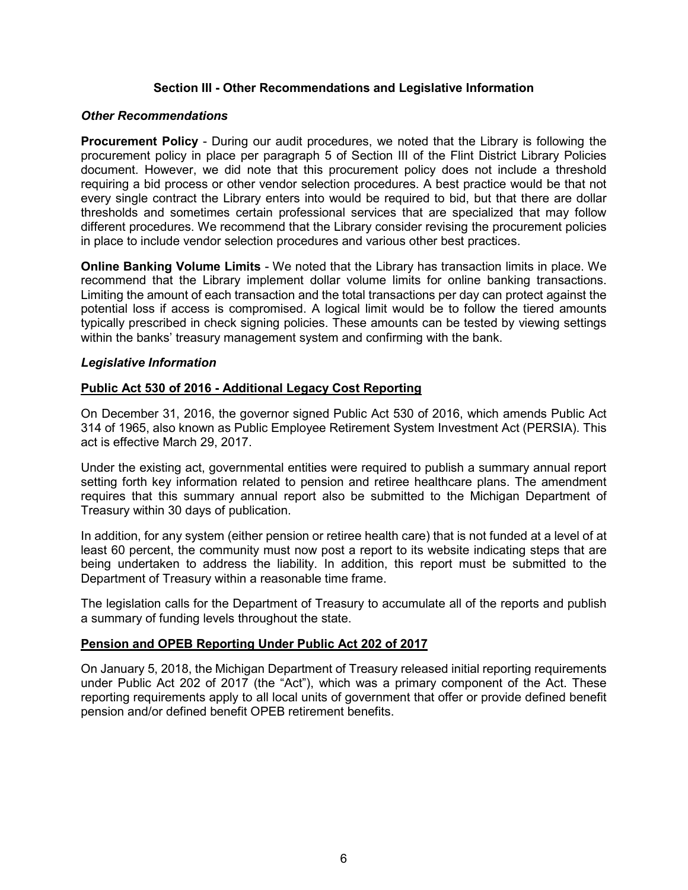## **Section III - Other Recommendations and Legislative Information**

## *Other Recommendations*

**Procurement Policy** - During our audit procedures, we noted that the Library is following the procurement policy in place per paragraph 5 of Section III of the Flint District Library Policies document. However, we did note that this procurement policy does not include a threshold requiring a bid process or other vendor selection procedures. A best practice would be that not every single contract the Library enters into would be required to bid, but that there are dollar thresholds and sometimes certain professional services that are specialized that may follow different procedures. We recommend that the Library consider revising the procurement policies in place to include vendor selection procedures and various other best practices.

**Online Banking Volume Limits** - We noted that the Library has transaction limits in place. We recommend that the Library implement dollar volume limits for online banking transactions. Limiting the amount of each transaction and the total transactions per day can protect against the potential loss if access is compromised. A logical limit would be to follow the tiered amounts typically prescribed in check signing policies. These amounts can be tested by viewing settings within the banks' treasury management system and confirming with the bank.

## *Legislative Information*

## **Public Act 530 of 2016 - Additional Legacy Cost Reporting**

On December 31, 2016, the governor signed Public Act 530 of 2016, which amends Public Act 314 of 1965, also known as Public Employee Retirement System Investment Act (PERSIA). This act is effective March 29, 2017.

Under the existing act, governmental entities were required to publish a summary annual report setting forth key information related to pension and retiree healthcare plans. The amendment requires that this summary annual report also be submitted to the Michigan Department of Treasury within 30 days of publication.

In addition, for any system (either pension or retiree health care) that is not funded at a level of at least 60 percent, the community must now post a report to its website indicating steps that are being undertaken to address the liability. In addition, this report must be submitted to the Department of Treasury within a reasonable time frame.

The legislation calls for the Department of Treasury to accumulate all of the reports and publish a summary of funding levels throughout the state.

#### **Pension and OPEB Reporting Under Public Act 202 of 2017**

On January 5, 2018, the Michigan Department of Treasury released initial reporting requirements under Public Act 202 of 2017 (the "Act"), which was a primary component of the Act. These reporting requirements apply to all local units of government that offer or provide defined benefit pension and/or defined benefit OPEB retirement benefits.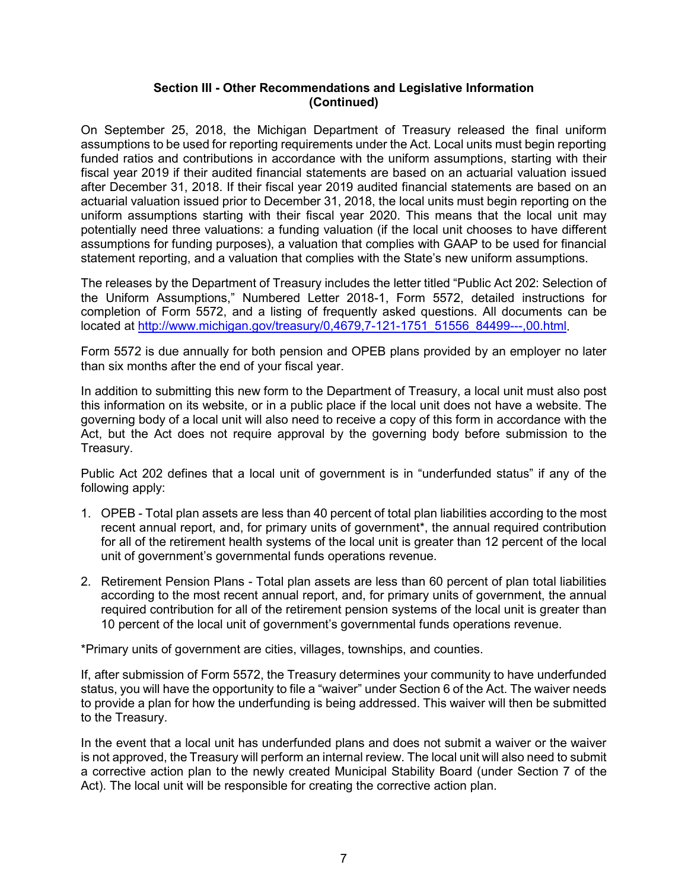# **Section III - Other Recommendations and Legislative Information (Continued)**

On September 25, 2018, the Michigan Department of Treasury released the final uniform assumptions to be used for reporting requirements under the Act. Local units must begin reporting funded ratios and contributions in accordance with the uniform assumptions, starting with their fiscal year 2019 if their audited financial statements are based on an actuarial valuation issued after December 31, 2018. If their fiscal year 2019 audited financial statements are based on an actuarial valuation issued prior to December 31, 2018, the local units must begin reporting on the uniform assumptions starting with their fiscal year 2020. This means that the local unit may potentially need three valuations: a funding valuation (if the local unit chooses to have different assumptions for funding purposes), a valuation that complies with GAAP to be used for financial statement reporting, and a valuation that complies with the State's new uniform assumptions.

The releases by the Department of Treasury includes the letter titled "Public Act 202: Selection of the Uniform Assumptions," Numbered Letter 2018-1, Form 5572, detailed instructions for completion of Form 5572, and a listing of frequently asked questions. All documents can be located at [http://www.michigan.gov/treasury/0,4679,7-121-1751\\_51556\\_84499---,00.html.](http://www.michigan.gov/treasury/0,4679,7-121-1751_51556_84499---,00.html)

Form 5572 is due annually for both pension and OPEB plans provided by an employer no later than six months after the end of your fiscal year.

In addition to submitting this new form to the Department of Treasury, a local unit must also post this information on its website, or in a public place if the local unit does not have a website. The governing body of a local unit will also need to receive a copy of this form in accordance with the Act, but the Act does not require approval by the governing body before submission to the Treasury.

Public Act 202 defines that a local unit of government is in "underfunded status" if any of the following apply:

- 1. OPEB Total plan assets are less than 40 percent of total plan liabilities according to the most recent annual report, and, for primary units of government\*, the annual required contribution for all of the retirement health systems of the local unit is greater than 12 percent of the local unit of government's governmental funds operations revenue.
- 2. Retirement Pension Plans Total plan assets are less than 60 percent of plan total liabilities according to the most recent annual report, and, for primary units of government, the annual required contribution for all of the retirement pension systems of the local unit is greater than 10 percent of the local unit of government's governmental funds operations revenue.

\*Primary units of government are cities, villages, townships, and counties.

If, after submission of Form 5572, the Treasury determines your community to have underfunded status, you will have the opportunity to file a "waiver" under Section 6 of the Act. The waiver needs to provide a plan for how the underfunding is being addressed. This waiver will then be submitted to the Treasury.

In the event that a local unit has underfunded plans and does not submit a waiver or the waiver is not approved, the Treasury will perform an internal review. The local unit will also need to submit a corrective action plan to the newly created Municipal Stability Board (under Section 7 of the Act). The local unit will be responsible for creating the corrective action plan.